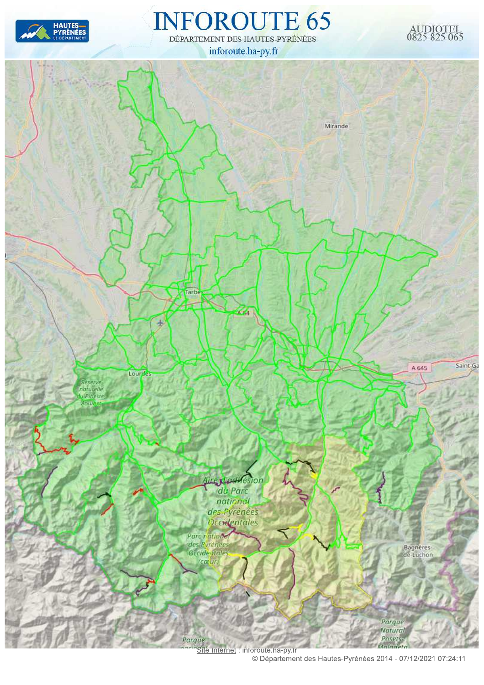

#### **INFOROUTE 65** DÉPARTEMENT DES HAUTES-PYRÉNÉES

inforoute.ha-py.fr





© Département des Hautes-Pyrénées 2014 - 07/12/2021 07:24:11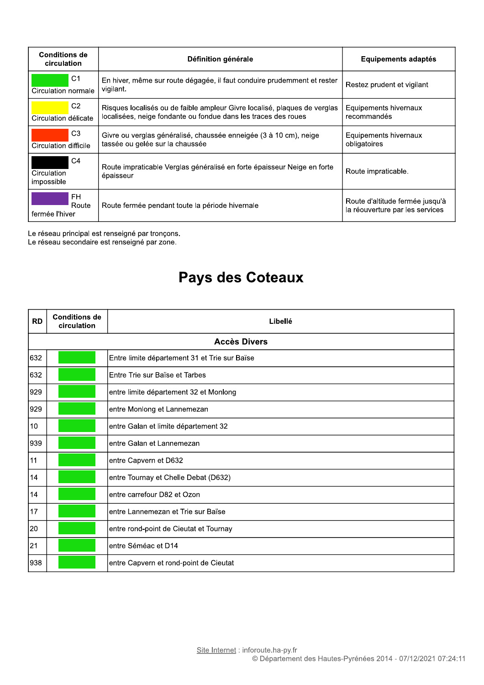| <b>Conditions de</b><br>circulation         | Définition générale                                                                                                                         | Equipements adaptés                                                |
|---------------------------------------------|---------------------------------------------------------------------------------------------------------------------------------------------|--------------------------------------------------------------------|
| C1<br>Circulation normale                   | En hiver, même sur route dégagée, il faut conduire prudemment et rester<br>vigilant.                                                        | Restez prudent et vigilant                                         |
| C2<br>Circulation délicate                  | Risques localisés ou de faible ampleur Givre localisé, plaques de verglas<br>localisées, neige fondante ou fondue dans les traces des roues | Equipements hivernaux<br>recommandés                               |
| C <sub>3</sub><br>Circulation difficile     | Givre ou verglas généralisé, chaussée enneigée (3 à 10 cm), neige<br>tassée ou gelée sur la chaussée                                        | Equipements hivernaux<br>obligatoires                              |
| C <sub>4</sub><br>Circulation<br>impossible | Route impraticable Verglas généralisé en forte épaisseur Neige en forte<br>épaisseur                                                        | Route impraticable.                                                |
| FH.<br>Route<br>fermée l'hiver              | Route fermée pendant toute la période hivernale                                                                                             | Route d'altitude fermée jusqu'à<br>la réouverture par les services |

Le réseau principal est renseigné par tronçons.<br>Le réseau secondaire est renseigné par zone.

### Pays des Coteaux

| <b>RD</b> | <b>Conditions de</b><br>circulation | Libellé                                       |
|-----------|-------------------------------------|-----------------------------------------------|
|           |                                     | <b>Accès Divers</b>                           |
| 632       |                                     | Entre limite département 31 et Trie sur Baïse |
| 632       |                                     | lEntre Trie sur Baïse et Tarbes               |
| 929       |                                     | entre limite département 32 et Monlong        |
| 929       |                                     | entre Monlong et Lannemezan                   |
| 10        |                                     | entre Galan et limite département 32          |
| 939       |                                     | entre Galan et Lannemezan                     |
| 11        |                                     | entre Capvern et D632                         |
| 14        |                                     | entre Tournay et Chelle Debat (D632)          |
| 14        |                                     | lentre carrefour D82 et Ozon                  |
| 17        |                                     | entre Lannemezan et Trie sur Baïse            |
| 20        |                                     | entre rond-point de Cieutat et Tournay        |
| 21        |                                     | entre Séméac et D14                           |
| 938       |                                     | entre Capvern et rond-point de Cieutat        |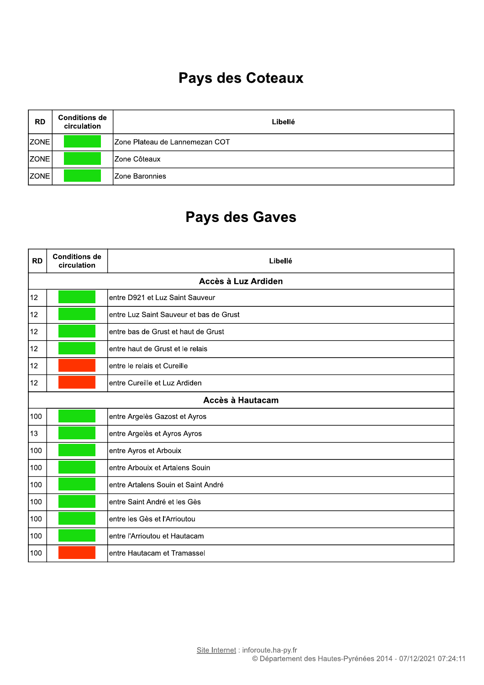### Pays des Coteaux

| <b>RD</b>         | <b>Conditions de</b><br>circulation | Libellé                         |
|-------------------|-------------------------------------|---------------------------------|
| ZONE <sup>1</sup> |                                     | IZone Plateau de Lannemezan COT |
| <b>ZONE</b>       |                                     | IZone Côteaux                   |
| <b>ZONE</b>       |                                     | <b>Zone Baronnies</b>           |

| <b>RD</b> | <b>Conditions de</b><br>circulation | Libellé                                 |
|-----------|-------------------------------------|-----------------------------------------|
|           |                                     | Accès à Luz Ardiden                     |
| 12        |                                     | entre D921 et Luz Saint Sauveur         |
| 12        |                                     | entre Luz Saint Sauveur et bas de Grust |
| 12        |                                     | entre bas de Grust et haut de Grust     |
| 12        |                                     | entre haut de Grust et le relais        |
| 12        |                                     | entre le relais et Cureille             |
| 12        |                                     | entre Cureille et Luz Ardiden           |
|           |                                     | Accès à Hautacam                        |
| 100       |                                     | entre Argelès Gazost et Ayros           |
| 13        |                                     | entre Argelès et Ayros Ayros            |
| 100       |                                     | entre Ayros et Arbouix                  |
| 100       |                                     | entre Arbouix et Artalens Souin         |
| 100       |                                     | entre Artalens Souin et Saint André     |
| 100       |                                     | entre Saint André et les Gès            |
| 100       |                                     | entre les Gès et l'Arrioutou            |
| 100       |                                     | entre l'Arrioutou et Hautacam           |
| 100       |                                     | entre Hautacam et Tramassel             |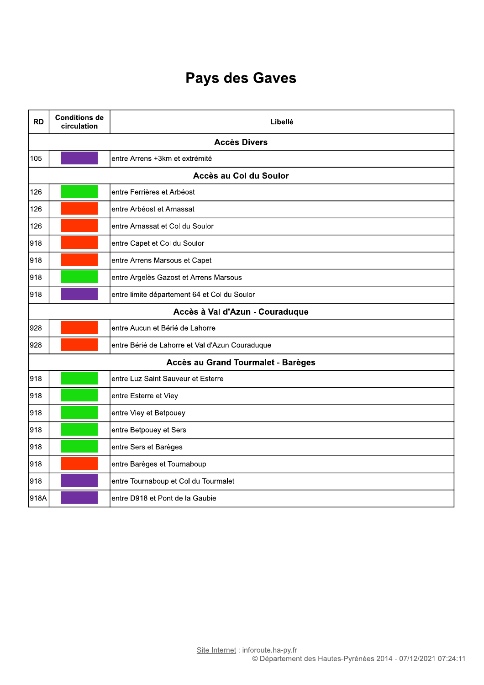| <b>RD</b> | <b>Conditions de</b><br>circulation | Libellé                                         |
|-----------|-------------------------------------|-------------------------------------------------|
|           |                                     | <b>Accès Divers</b>                             |
| 105       |                                     | entre Arrens +3km et extrémité                  |
|           |                                     | Accès au Col du Soulor                          |
| 126       |                                     | entre Ferrières et Arbéost                      |
| 126       |                                     | entre Arbéost et Arnassat                       |
| 126       |                                     | entre Arnassat et Col du Soulor                 |
| 918       |                                     | entre Capet et Col du Soulor                    |
| 918       |                                     | entre Arrens Marsous et Capet                   |
| 918       |                                     | entre Argelès Gazost et Arrens Marsous          |
| 918       |                                     | entre limite département 64 et Col du Soulor    |
|           |                                     | Accès à Val d'Azun - Couraduque                 |
| 928       |                                     | entre Aucun et Bérié de Lahorre                 |
| 928       |                                     | entre Bérié de Lahorre et Val d'Azun Couraduque |
|           |                                     | Accès au Grand Tourmalet - Barèges              |
| 918       |                                     | entre Luz Saint Sauveur et Esterre              |
| 918       |                                     | entre Esterre et Viey                           |
| 918       |                                     | entre Viey et Betpouey                          |
| 918       |                                     | entre Betpouey et Sers                          |
| 918       |                                     | entre Sers et Barèges                           |
| 918       |                                     | entre Barèges et Tournaboup                     |
| 918       |                                     | entre Tournaboup et Col du Tourmalet            |
| 918A      |                                     | entre D918 et Pont de la Gaubie                 |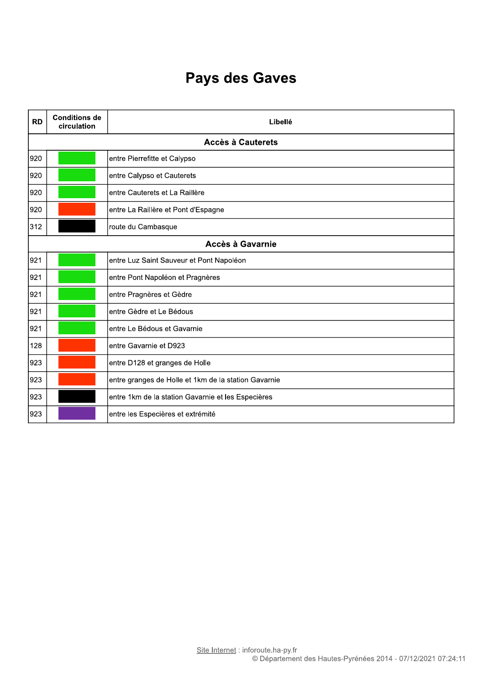| <b>RD</b> | <b>Conditions de</b><br>circulation | Libellé                                              |
|-----------|-------------------------------------|------------------------------------------------------|
|           |                                     | <b>Accès à Cauterets</b>                             |
| 920       |                                     | entre Pierrefitte et Calypso                         |
| 920       |                                     | entre Calypso et Cauterets                           |
| 920       |                                     | entre Cauterets et La Raillère                       |
| 920       |                                     | entre La Raillère et Pont d'Espagne                  |
| 312       |                                     | route du Cambasque                                   |
|           |                                     | Accès à Gavarnie                                     |
| 921       |                                     | entre Luz Saint Sauveur et Pont Napoléon             |
| 921       |                                     | entre Pont Napoléon et Pragnères                     |
| 921       |                                     | entre Pragnères et Gèdre                             |
| 921       |                                     | entre Gèdre et Le Bédous                             |
| 921       |                                     | entre Le Bédous et Gavarnie                          |
| 128       |                                     | entre Gavarnie et D923                               |
| 923       |                                     | entre D128 et granges de Holle                       |
| 923       |                                     | entre granges de Holle et 1km de la station Gavarnie |
| 923       |                                     | entre 1km de la station Gavarnie et les Especières   |
| 923       |                                     | entre les Especières et extrémité                    |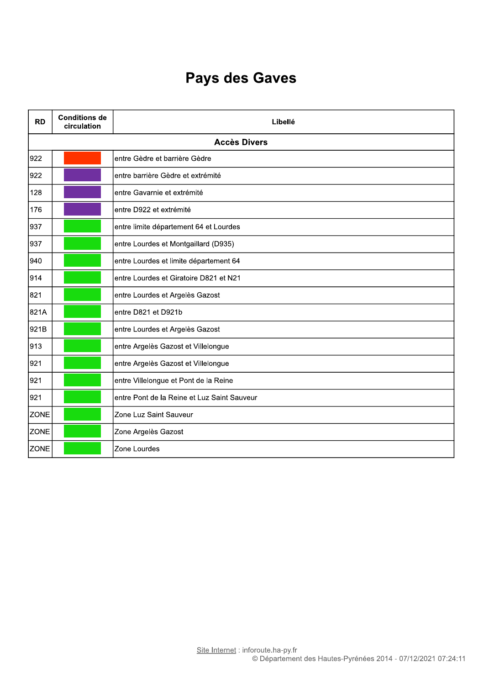| <b>RD</b>   | <b>Conditions de</b><br>circulation | Libellé                                     |
|-------------|-------------------------------------|---------------------------------------------|
|             |                                     | <b>Accès Divers</b>                         |
| 922         |                                     | entre Gèdre et barrière Gèdre               |
| 922         |                                     | entre barrière Gèdre et extrémité           |
| 128         |                                     | entre Gavarnie et extrémité                 |
| 176         |                                     | entre D922 et extrémité                     |
| 937         |                                     | entre limite département 64 et Lourdes      |
| 937         |                                     | entre Lourdes et Montgaillard (D935)        |
| 940         |                                     | entre Lourdes et limite département 64      |
| 914         |                                     | entre Lourdes et Giratoire D821 et N21      |
| 821         |                                     | entre Lourdes et Argelès Gazost             |
| 821A        |                                     | entre D821 et D921b                         |
| 921B        |                                     | entre Lourdes et Argelès Gazost             |
| 913         |                                     | entre Argelès Gazost et Villelongue         |
| 921         |                                     | entre Argelès Gazost et Villelongue         |
| 921         |                                     | entre Villelongue et Pont de la Reine       |
| 921         |                                     | entre Pont de la Reine et Luz Saint Sauveur |
| <b>ZONE</b> |                                     | Zone Luz Saint Sauveur                      |
| <b>ZONE</b> |                                     | Zone Argelès Gazost                         |
| <b>ZONE</b> |                                     | Zone Lourdes                                |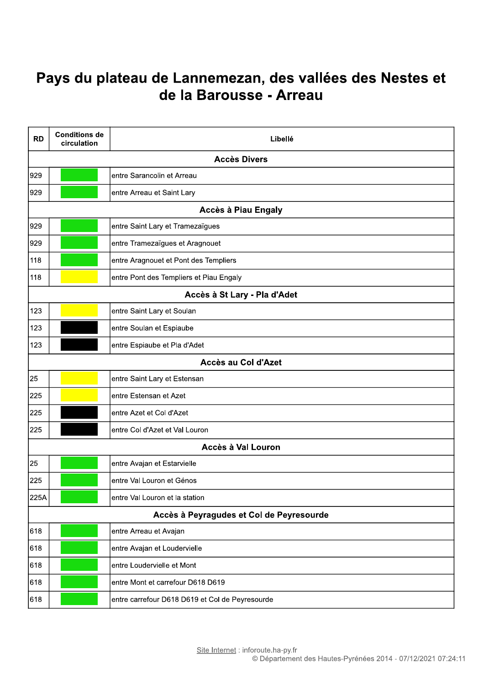#### Pays du plateau de Lannemezan, des vallées des Nestes et de la Barousse - Arreau

| <b>RD</b> | <b>Conditions de</b><br>circulation | Libellé                                         |
|-----------|-------------------------------------|-------------------------------------------------|
|           |                                     | <b>Accès Divers</b>                             |
| 929       |                                     | entre Sarancolin et Arreau                      |
| 929       |                                     | entre Arreau et Saint Lary                      |
|           |                                     | Accès à Piau Engaly                             |
| 929       |                                     | entre Saint Lary et Tramezaïgues                |
| 929       |                                     | entre Tramezaïgues et Aragnouet                 |
| 118       |                                     | entre Aragnouet et Pont des Templiers           |
| 118       |                                     | entre Pont des Templiers et Piau Engaly         |
|           |                                     | Accès à St Lary - Pla d'Adet                    |
| 123       |                                     | entre Saint Lary et Soulan                      |
| 123       |                                     | entre Soulan et Espiaube                        |
| 123       |                                     | entre Espiaube et Pla d'Adet                    |
|           |                                     | Accès au Col d'Azet                             |
| 25        |                                     | entre Saint Lary et Estensan                    |
| 225       |                                     | entre Estensan et Azet                          |
| 225       |                                     | entre Azet et Col d'Azet                        |
| 225       |                                     | entre Col d'Azet et Val Louron                  |
|           |                                     | Accès à Val Louron                              |
| 25        |                                     | entre Avajan et Estarvielle                     |
| 225       |                                     | entre Val Louron et Génos                       |
| 225A      |                                     | entre Val Louron et la station                  |
|           |                                     | Accès à Peyragudes et Col de Peyresourde        |
| 618       |                                     | entre Arreau et Avajan                          |
| 618       |                                     | entre Avajan et Loudervielle                    |
| 618       |                                     | entre Loudervielle et Mont                      |
| 618       |                                     | entre Mont et carrefour D618 D619               |
| 618       |                                     | entre carrefour D618 D619 et Col de Peyresourde |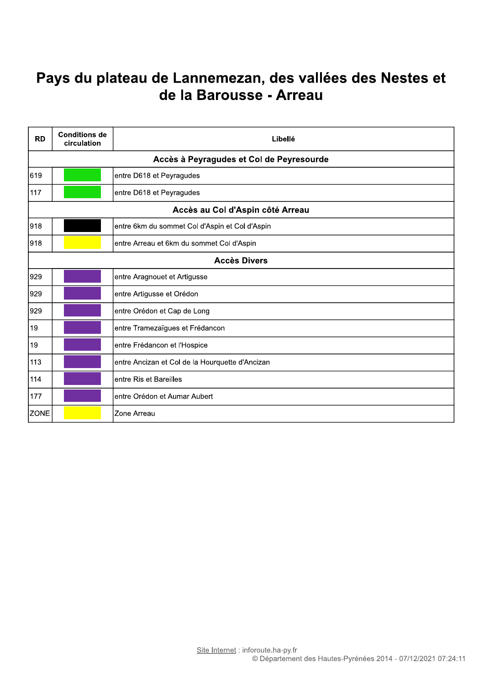#### Pays du plateau de Lannemezan, des vallées des Nestes et de la Barousse - Arreau

| <b>RD</b>   | <b>Conditions de</b><br>circulation | Libellé                                         |
|-------------|-------------------------------------|-------------------------------------------------|
|             |                                     | Accès à Peyragudes et Col de Peyresourde        |
| 619         |                                     | entre D618 et Peyragudes                        |
| 117         |                                     | entre D618 et Peyragudes                        |
|             |                                     | Accès au Col d'Aspin côté Arreau                |
| 918         |                                     | entre 6km du sommet Col d'Aspin et Col d'Aspin  |
| 918         |                                     | entre Arreau et 6km du sommet Col d'Aspin       |
|             |                                     | <b>Accès Divers</b>                             |
| 929         |                                     | entre Aragnouet et Artigusse                    |
| 929         |                                     | entre Artigusse et Orédon                       |
| 929         |                                     | entre Orédon et Cap de Long                     |
| 19          |                                     | entre Tramezaïgues et Frédancon                 |
| 19          |                                     | entre Frédancon et l'Hospice                    |
| 113         |                                     | entre Ancizan et Col de la Hourquette d'Ancizan |
| 114         |                                     | entre Ris et Bareilles                          |
| 177         |                                     | entre Orédon et Aumar Aubert                    |
| <b>ZONE</b> |                                     | Zone Arreau                                     |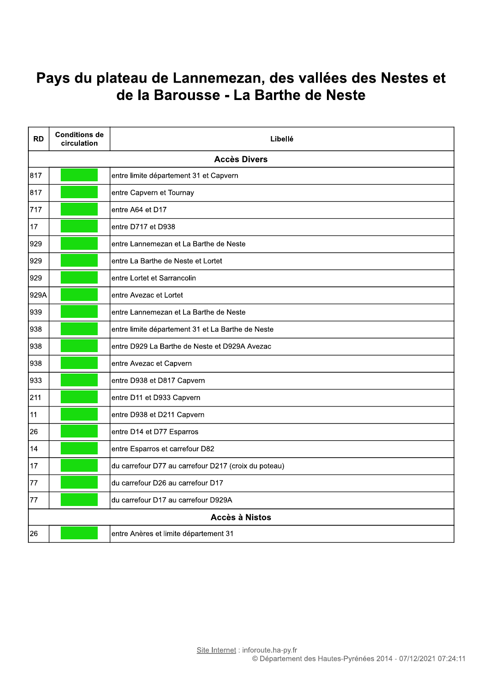#### Pays du plateau de Lannemezan, des vallées des Nestes et de la Barousse - La Barthe de Neste

| <b>RD</b> | <b>Conditions de</b><br>circulation | Libellé                                              |
|-----------|-------------------------------------|------------------------------------------------------|
|           |                                     | <b>Accès Divers</b>                                  |
| 817       |                                     | entre limite département 31 et Capvern               |
| 817       |                                     | entre Capvern et Tournay                             |
| 717       |                                     | entre A64 et D17                                     |
| 17        |                                     | entre D717 et D938                                   |
| 929       |                                     | entre Lannemezan et La Barthe de Neste               |
| 929       |                                     | entre La Barthe de Neste et Lortet                   |
| 929       |                                     | entre Lortet et Sarrancolin                          |
| 929A      |                                     | entre Avezac et Lortet                               |
| 939       |                                     | entre Lannemezan et La Barthe de Neste               |
| 938       |                                     | entre limite département 31 et La Barthe de Neste    |
| 938       |                                     | entre D929 La Barthe de Neste et D929A Avezac        |
| 938       |                                     | entre Avezac et Capvern                              |
| 933       |                                     | entre D938 et D817 Capvern                           |
| 211       |                                     | entre D11 et D933 Capvern                            |
| 11        |                                     | entre D938 et D211 Capvern                           |
| 26        |                                     | entre D14 et D77 Esparros                            |
| 14        |                                     | entre Esparros et carrefour D82                      |
| 17        |                                     | du carrefour D77 au carrefour D217 (croix du poteau) |
| 77        |                                     | du carrefour D26 au carrefour D17                    |
| 77        |                                     | du carrefour D17 au carrefour D929A                  |
|           |                                     | <b>Accès à Nistos</b>                                |
| 26        |                                     | entre Anères et limite département 31                |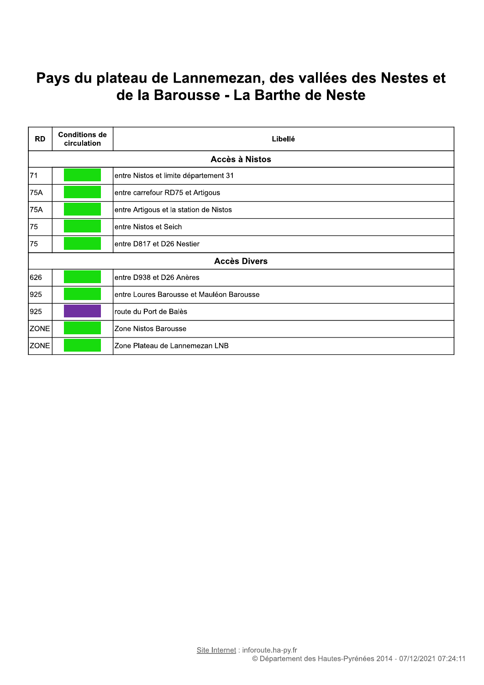#### Pays du plateau de Lannemezan, des vallées des Nestes et de la Barousse - La Barthe de Neste

| <b>RD</b>   | <b>Conditions de</b><br>circulation | Libellé                                   |
|-------------|-------------------------------------|-------------------------------------------|
|             |                                     | Accès à Nistos                            |
| 71          |                                     | entre Nistos et limite département 31     |
| 75A         |                                     | entre carrefour RD75 et Artigous          |
| <b>75A</b>  |                                     | entre Artigous et la station de Nistos    |
| 75          |                                     | entre Nistos et Seich                     |
| 75          |                                     | entre D817 et D26 Nestier                 |
|             |                                     | <b>Accès Divers</b>                       |
| 626         |                                     | entre D938 et D26 Anères                  |
| 925         |                                     | entre Loures Barousse et Mauléon Barousse |
| 925         |                                     | route du Port de Balès                    |
| <b>ZONE</b> |                                     | Zone Nistos Barousse                      |
| <b>ZONE</b> |                                     | Zone Plateau de Lannemezan LNB            |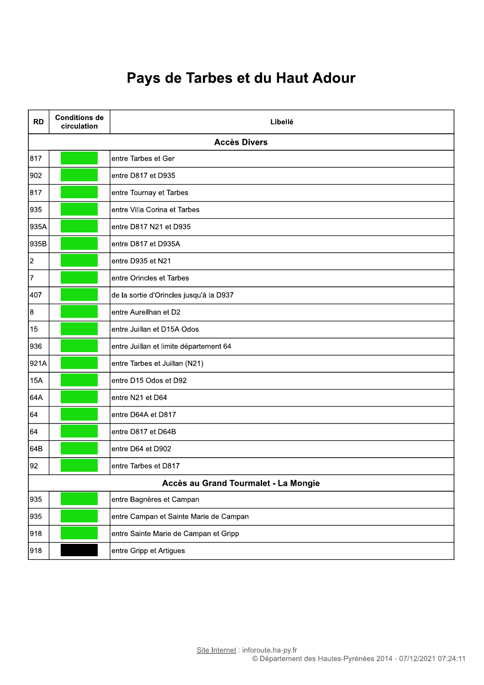## Pays de Tarbes et du Haut Adour

| <b>RD</b>      | <b>Conditions de</b><br>circulation | Libellé                                 |
|----------------|-------------------------------------|-----------------------------------------|
|                |                                     | <b>Accès Divers</b>                     |
| 817            |                                     | entre Tarbes et Ger                     |
| 902            |                                     | entre D817 et D935                      |
| 817            |                                     | entre Tournay et Tarbes                 |
| 935            |                                     | entre Villa Corina et Tarbes            |
| 935A           |                                     | entre D817 N21 et D935                  |
| 935B           |                                     | entre D817 et D935A                     |
| $\overline{2}$ |                                     | entre D935 et N21                       |
| $\overline{7}$ |                                     | entre Orincles et Tarbes                |
| 407            |                                     | de la sortie d'Orincles jusqu'à la D937 |
| $\overline{8}$ |                                     | entre Aureilhan et D2                   |
| 15             |                                     | entre Juillan et D15A Odos              |
| 936            |                                     | entre Juillan et limite département 64  |
| 921A           |                                     | entre Tarbes et Juillan (N21)           |
| <b>15A</b>     |                                     | entre D15 Odos et D92                   |
| 64A            |                                     | entre N21 et D64                        |
| 64             |                                     | entre D64A et D817                      |
| 64             |                                     | entre D817 et D64B                      |
| 64B            |                                     | entre D64 et D902                       |
| 92             |                                     | entre Tarbes et D817                    |
|                |                                     | Accès au Grand Tourmalet - La Mongie    |
| 935            |                                     | entre Bagnères et Campan                |
| 935            |                                     | entre Campan et Sainte Marie de Campan  |
| 918            |                                     | entre Sainte Marie de Campan et Gripp   |
| 918            |                                     | entre Gripp et Artigues                 |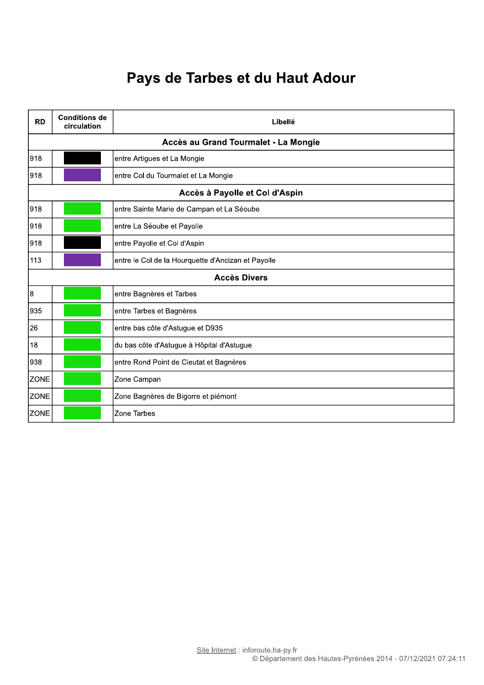## Pays de Tarbes et du Haut Adour

| <b>RD</b>                            | <b>Conditions de</b><br>circulation | Libellé                                            |  |  |  |
|--------------------------------------|-------------------------------------|----------------------------------------------------|--|--|--|
| Accès au Grand Tourmalet - La Mongie |                                     |                                                    |  |  |  |
| 918                                  |                                     | entre Artigues et La Mongie                        |  |  |  |
| 918                                  |                                     | entre Col du Tourmalet et La Mongie                |  |  |  |
| Accès à Payolle et Col d'Aspin       |                                     |                                                    |  |  |  |
| 918                                  |                                     | entre Sainte Marie de Campan et La Séoube          |  |  |  |
| 918                                  |                                     | entre La Séoube et Payolle                         |  |  |  |
| 918                                  |                                     | entre Payolle et Col d'Aspin                       |  |  |  |
| 113                                  |                                     | entre le Col de la Hourquette d'Ancizan et Payolle |  |  |  |
| <b>Accès Divers</b>                  |                                     |                                                    |  |  |  |
| 18                                   |                                     | entre Bagnères et Tarbes                           |  |  |  |
| 935                                  |                                     | entre Tarbes et Bagnères                           |  |  |  |
| 26                                   |                                     | entre bas côte d'Astugue et D935                   |  |  |  |
| 18                                   |                                     | du bas côte d'Astugue à Hôpital d'Astugue          |  |  |  |
| 938                                  |                                     | entre Rond Point de Cieutat et Bagnères            |  |  |  |
| <b>ZONE</b>                          |                                     | Zone Campan                                        |  |  |  |
| <b>ZONE</b>                          |                                     | Zone Bagnères de Bigorre et piémont                |  |  |  |
| <b>ZONE</b>                          |                                     | Zone Tarbes                                        |  |  |  |